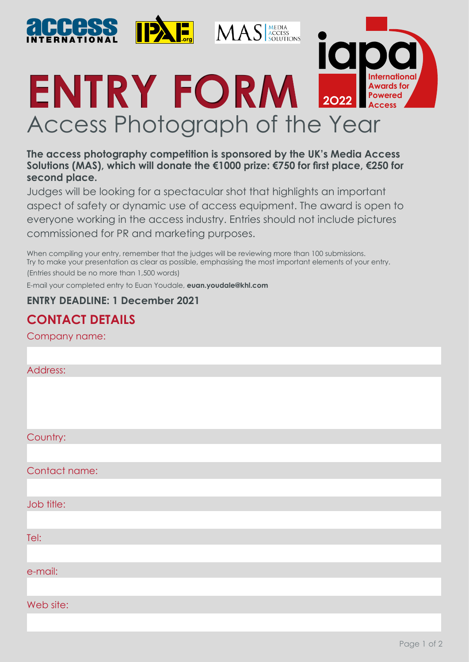

#### **The access photography competition is sponsored by the UK's Media Access Solutions (MAS), which will donate the €1000 prize: €750 for first place, €250 for second place.**

Judges will be looking for a spectacular shot that highlights an important aspect of safety or dynamic use of access equipment. The award is open to everyone working in the access industry. Entries should not include pictures commissioned for PR and marketing purposes.

When compiling your entry, remember that the judges will be reviewing more than 100 submissions. Try to make your presentation as clear as possible, emphasising the most important elements of your entry. (Entries should be no more than 1,500 words)

E-mail your completed entry to Euan Youdale, **euan.youdale@khl.com** 

#### **ENTRY DEADLINE: 1 December 2021**

# **CONTACT DETAILS**

Company name:

| Address:      |
|---------------|
|               |
|               |
|               |
| Country:      |
|               |
| Contact name: |
|               |
| Job title:    |
|               |
| Tel:          |
|               |
| e-mail:       |
|               |
| Web site:     |
|               |